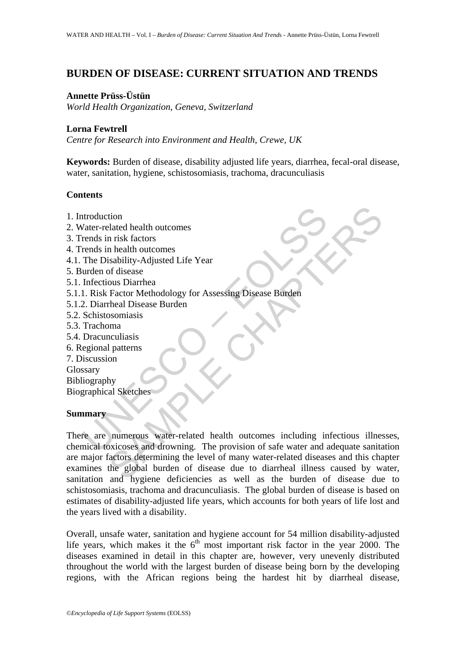# **BURDEN OF DISEASE: CURRENT SITUATION AND TRENDS**

### **Annette Prüss-Üstün**

*World Health Organization, Geneva, Switzerland*

## **Lorna Fewtrell**

*Centre for Research into Environment and Health, Crewe, UK*

**Keywords:** Burden of disease, disability adjusted life years, diarrhea, fecal-oral disease, water, sanitation, hygiene, schistosomiasis, trachoma, dracunculiasis

### **Contents**

- 1. Introduction
- 2. Water-related health outcomes
- 3. Trends in risk factors
- 4. Trends in health outcomes
- 4.1. The Disability-Adjusted Life Year
- 5. Burden of disease
- 5.1. Infectious Diarrhea
- 5.1.1. Risk Factor Methodology for Assessing Disease Burden
- 5.1.2. Diarrheal Disease Burden
- 5.2. Schistosomiasis
- 5.3. Trachoma
- 5.4. Dracunculiasis
- 6. Regional patterns
- 7. Discussion
- Glossary
- Bibliography

Biographical Sketches

### **Summary**

ntroduction<br>
Vater-related health outcomes<br>
rends in risk factors<br>
rends in health outcomes<br>
The Disability-Adjusted Life Year<br>
urden of disease<br>
1. Risk Factor Methodology for Assessing Disease Burden<br>
2. Diarrheal Diseas tion<br>
in itsk factors<br>
in health outcomes<br>
in health outcomes<br>
is ability-Adjusted Life Year<br>
of disease Burden<br>
and Disease Burden<br>
mean Disease Burden<br>
mean Disease Burden<br>
manumerous<br>
was absoluted to the substantial ou There are numerous water-related health outcomes including infectious illnesses, chemical toxicoses and drowning. The provision of safe water and adequate sanitation are major factors determining the level of many water-related diseases and this chapter examines the global burden of disease due to diarrheal illness caused by water, sanitation and hygiene deficiencies as well as the burden of disease due to schistosomiasis, trachoma and dracunculiasis. The global burden of disease is based on estimates of disability-adjusted life years, which accounts for both years of life lost and the years lived with a disability.

Overall, unsafe water, sanitation and hygiene account for 54 million disability-adjusted life years, which makes it the  $6<sup>th</sup>$  most important risk factor in the year 2000. The diseases examined in detail in this chapter are, however, very unevenly distributed throughout the world with the largest burden of disease being born by the developing regions, with the African regions being the hardest hit by diarrheal disease,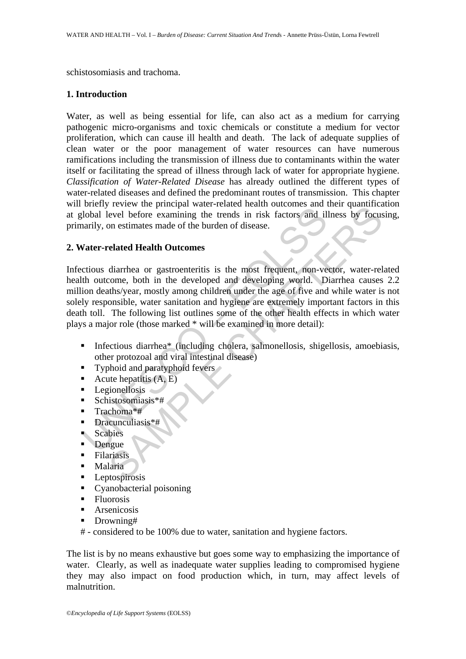schistosomiasis and trachoma.

#### **1. Introduction**

Water, as well as being essential for life, can also act as a medium for carrying pathogenic micro-organisms and toxic chemicals or constitute a medium for vector proliferation, which can cause ill health and death. The lack of adequate supplies of clean water or the poor management of water resources can have numerous ramifications including the transmission of illness due to contaminants within the water itself or facilitating the spread of illness through lack of water for appropriate hygiene. *Classification of Water-Related Disease* has already outlined the different types of water-related diseases and defined the predominant routes of transmission. This chapter will briefly review the principal water-related health outcomes and their quantification at global level before examining the trends in risk factors and illness by focusing, primarily, on estimates made of the burden of disease.

### **2. Water-related Health Outcomes**

order we punction and ideals in risk factors and ideal<br>olobal level before examining the trends in risk factors and il<br>anrily, on estimates made of the burden of disease.<br>Vater-related Health Outcomes<br>citious diarrhea or From the pinning the treat in duck and duck and duck of every level before examining the trends in risk factors and illness by focus<br>on estimates made of the burden of disease.<br> **Calacted Health Outcomes**<br>
diarrhea or gas Infectious diarrhea or gastroenteritis is the most frequent, non-vector, water-related health outcome, both in the developed and developing world. Diarrhea causes 2.2 million deaths/year, mostly among children under the age of five and while water is not solely responsible, water sanitation and hygiene are extremely important factors in this death toll. The following list outlines some of the other health effects in which water plays a major role (those marked \* will be examined in more detail):

- Infectious diarrhea\* (including cholera, salmonellosis, shigellosis, amoebiasis, other protozoal and viral intestinal disease)
- $\blacksquare$  Typhoid and paratyphoid fevers
- Acute hepatitis  $(A, E)$
- **Legionellosis**
- $\blacksquare$  Schistosomiasis\*#
- Trachoma\*#
- Dracunculiasis\*#
- Scabies
- Dengue
- **Filariasis**
- **Malaria**
- **Leptospirosis**
- **Cyanobacterial poisoning**
- **Fluorosis**
- **Arsenicosis**
- **Drowning#**
- # considered to be 100% due to water, sanitation and hygiene factors.

The list is by no means exhaustive but goes some way to emphasizing the importance of water. Clearly, as well as inadequate water supplies leading to compromised hygiene they may also impact on food production which, in turn, may affect levels of malnutrition.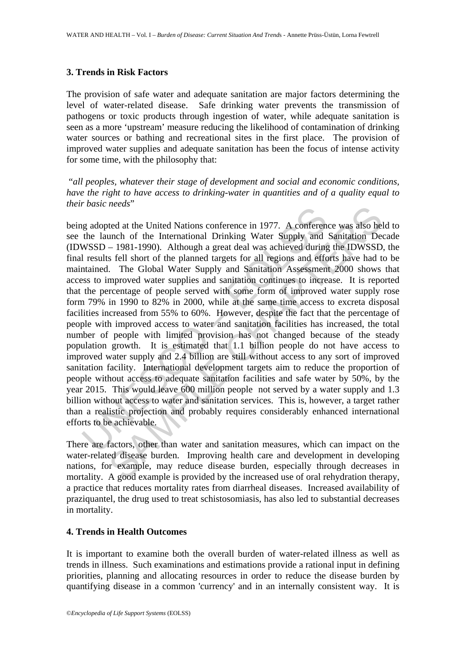#### **3. Trends in Risk Factors**

The provision of safe water and adequate sanitation are major factors determining the level of water-related disease. Safe drinking water prevents the transmission of pathogens or toxic products through ingestion of water, while adequate sanitation is seen as a more 'upstream' measure reducing the likelihood of contamination of drinking water sources or bathing and recreational sites in the first place. The provision of improved water supplies and adequate sanitation has been the focus of intense activity for some time, with the philosophy that:

 "*all peoples, whatever their stage of development and social and economic conditions, have the right to have access to drinking-water in quantities and of a quality equal to their basic needs*"

basic metals<br>g adopted at the United Nations conference in 1977. A conference<br>the launch of the International Drinking Water Supply and<br>WSSD – 1981-1990). Although a great deal was achieved during<br>l results fell short of t *Heeds*<br> *Atecha*<br> *Atecha*<br>
Interd Nations conference in 1977. A conference was also he<br>
and the International Drinking Water Supply and Sanitation Dee<br>
- 1981-1990). Although a great deal was achieved during the IDWSSD<br> being adopted at the United Nations conference in 1977. A conference was also held to see the launch of the International Drinking Water Supply and Sanitation Decade (IDWSSD – 1981-1990). Although a great deal was achieved during the IDWSSD, the final results fell short of the planned targets for all regions and efforts have had to be maintained. The Global Water Supply and Sanitation Assessment 2000 shows that access to improved water supplies and sanitation continues to increase. It is reported that the percentage of people served with some form of improved water supply rose form 79% in 1990 to 82% in 2000, while at the same time access to excreta disposal facilities increased from 55% to 60%. However, despite the fact that the percentage of people with improved access to water and sanitation facilities has increased, the total number of people with limited provision has not changed because of the steady population growth. It is estimated that 1.1 billion people do not have access to improved water supply and 2.4 billion are still without access to any sort of improved sanitation facility. International development targets aim to reduce the proportion of people without access to adequate sanitation facilities and safe water by 50%, by the year 2015. This would leave 600 million people not served by a water supply and 1.3 billion without access to water and sanitation services. This is, however, a target rather than a realistic projection and probably requires considerably enhanced international efforts to be achievable.

There are factors, other than water and sanitation measures, which can impact on the water-related disease burden. Improving health care and development in developing nations, for example, may reduce disease burden, especially through decreases in mortality. A good example is provided by the increased use of oral rehydration therapy, a practice that reduces mortality rates from diarrheal diseases. Increased availability of praziquantel, the drug used to treat schistosomiasis, has also led to substantial decreases in mortality.

### **4. Trends in Health Outcomes**

It is important to examine both the overall burden of water-related illness as well as trends in illness. Such examinations and estimations provide a rational input in defining priorities, planning and allocating resources in order to reduce the disease burden by quantifying disease in a common 'currency' and in an internally consistent way. It is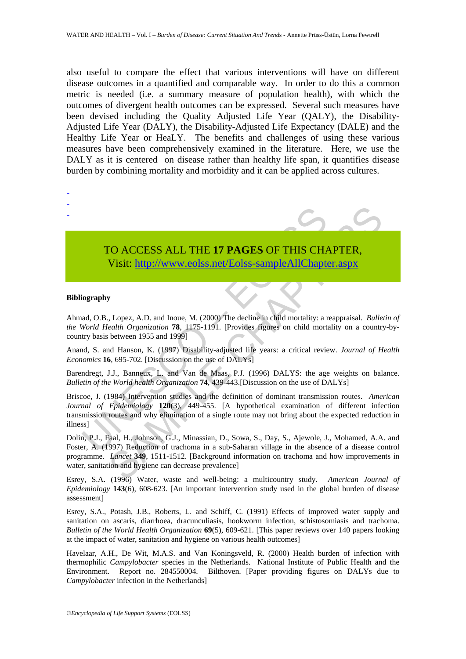also useful to compare the effect that various interventions will have on different disease outcomes in a quantified and comparable way. In order to do this a common metric is needed (i.e. a summary measure of population health), with which the outcomes of divergent health outcomes can be expressed. Several such measures have been devised including the Quality Adjusted Life Year (QALY), the Disability-Adjusted Life Year (DALY), the Disability-Adjusted Life Expectancy (DALE) and the Healthy Life Year or HeaLY. The benefits and challenges of using these various measures have been comprehensively examined in the literature. Here, we use the DALY as it is centered on disease rather than healthy life span, it quantifies disease burden by combining mortality and morbidity and it can be applied across cultures.

# - - -

## TO ACCESS ALL THE **17 PAGES** OF THIS CHAPTER, Visit: http://www.eolss.net/Eolss-sampleAllChapter.aspx

#### **Bibliography**

Ahmad, O.B., Lopez, A.D. and Inoue, M. (2000) The decline in child mortality: a reappraisal. *Bulletin of the World Health Organization* **78**, 1175-1191. [Provides figures on child mortality on a country-bycountry basis between 1955 and 1999]

Anand, S. and Hanson, K. (1997) Disability-adjusted life years: a critical review. *Journal of Health Economics* **16**, 695-702. [Discussion on the use of DALYs]

Barendregt, J.J., Banneux, L. and Van de Maas, P.J. (1996) DALYS: the age weights on balance. *Bulletin of the World health Organization* **74**, 439-443.[Discussion on the use of DALYs]

TO ACCESS ALL THE 17 PAGES OF THIS CHA<br>Visit: http://www.colss.net/Eolss-sampleAllChapte<br>iography<br>ad, O.B., Lopez, A.D. and Inoue, M. (2000) The decline in child mortality: a *Norld Health Organization 78*, 1175-1191. [Pro Briscoe, J. (1984) Intervention studies and the definition of dominant transmission routes. *American Journal of Epidemiology* **120**(3), 449-455. [A hypothetical examination of different infection transmission routes and why elimination of a single route may not bring about the expected reduction in illness]

**FO ACCESS ALL THE 17 PAGES OF THIS CHA[PTER](https://www.eolss.net/ebooklib/sc_cart.aspx?File=E2-20A-01-03),**<br>
Visit: http://www.colss.net/Eolss-sampleAllChapter.aspx<br>
For the same of the same of the same of the same of the same of the same of the same of the same of the same of the s Dolin, P.J., Faal, H., Johnson, G.J., Minassian, D., Sowa, S., Day, S., Ajewole, J., Mohamed, A.A. and Foster, A. (1997) Reduction of trachoma in a sub-Saharan village in the absence of a disease control programme. *Lancet* **349**, 1511-1512. [Background information on trachoma and how improvements in water, sanitation and hygiene can decrease prevalence]

Esrey, S.A. (1996) Water, waste and well-being: a multicountry study. *American Journal of Epidemiology* **143**(6), 608-623. [An important intervention study used in the global burden of disease assessment]

Esrey, S.A., Potash, J.B., Roberts, L. and Schiff, C. (1991) Effects of improved water supply and sanitation on ascaris, diarrhoea, dracunculiasis, hookworm infection, schistosomiasis and trachoma. *Bulletin of the World Health Organization* **69**(5), 609-621. [This paper reviews over 140 papers looking at the impact of water, sanitation and hygiene on various health outcomes]

Havelaar, A.H., De Wit, M.A.S. and Van Koningsveld, R. (2000) Health burden of infection with thermophilic *Campylobacter* species in the Netherlands. National Institute of Public Health and the Environment. Report no. 284550004. Bilthoven. [Paper providing figures on DALYs due to *Campylobacter* infection in the Netherlands]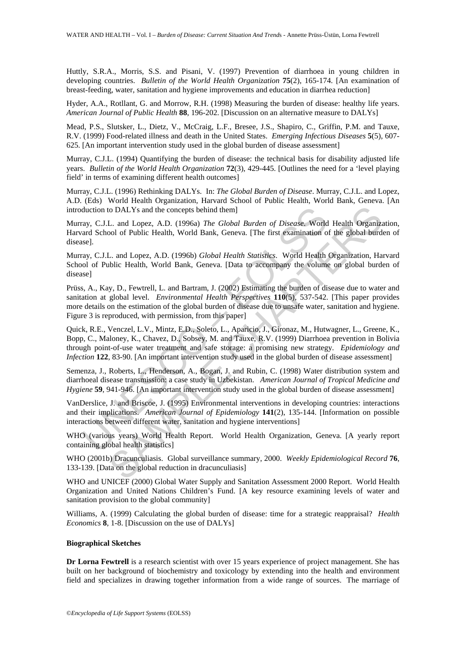Huttly, S.R.A., Morris, S.S. and Pisani, V. (1997) Prevention of diarrhoea in young children in developing countries. *Bulletin of the World Health Organization* **75**(2), 165-174. [An examination of breast-feeding, water, sanitation and hygiene improvements and education in diarrhea reduction]

Hyder, A.A., Rotllant, G. and Morrow, R.H. (1998) Measuring the burden of disease: healthy life years. *American Journal of Public Health* **88**, 196-202. [Discussion on an alternative measure to DALYs]

Mead, P.S., Slutsker, L., Dietz, V., McCraig, L.F., Bresee, J.S., Shapiro, C., Griffin, P.M. and Tauxe, R.V. (1999) Food-related illness and death in the United States. *Emerging Infectious Diseases* **5**(5), 607- 625. [An important intervention study used in the global burden of disease assessment]

Murray, C.J.L. (1994) Quantifying the burden of disease: the technical basis for disability adjusted life years. *Bulletin of the World Health Organization* **72**(3), 429-445. [Outlines the need for a 'level playing field' in terms of examining different health outcomes]

Murray, C.J.L. (1996) Rethinking DALYs. In: *The Global Burden of Disease*. Murray, C.J.L. and Lopez, A.D. (Eds) World Health Organization, Harvard School of Public Health, World Bank, Geneva. [An introduction to DALYs and the concepts behind them]

Murray, C.J.L. and Lopez, A.D. (1996a) *The Global Burden of Disease*. World Health Organization, Harvard School of Public Health, World Bank, Geneva. [The first examination of the global burden of disease].

Murray, C.J.L. and Lopez, A.D. (1996b) *Global Health Statistics*. World Health Organization, Harvard School of Public Health, World Bank, Geneva. [Data to accompany the volume on global burden of disease]

duction to DALYs and the concepts behind them]<br>ray, C.J.L. and Lopez, A.D. (1996a) *The Global Burden of Disease*. World<br>ard School of Public Health, World Bank, Geneva. [The first examination of<br>ard<br>resp.<br>es.]<br>ay, C.J.L. to DALYs and the concepts behind them]<br>
L. and Lopez, A.D. (1996a) *The Global Burden of Disease*. World Health Organization, L. and Lopez, A.D. (1996b) *Global Health Statisties*. World Health Organization, Ha.<br>
L. and Lo Prüss, A., Kay, D., Fewtrell, L. and Bartram, J. (2002) Estimating the burden of disease due to water and sanitation at global level. *Environmental Health Perspectives* **110**(5), 537-542. [This paper provides more details on the estimation of the global burden of disease due to unsafe water, sanitation and hygiene. Figure 3 is reproduced, with permission, from this paper]

Quick, R.E., Venczel, L.V., Mintz, E.D., Soleto, L., Aparicio, J., Gironaz, M., Hutwagner, L., Greene, K., Bopp, C., Maloney, K., Chavez, D., Sobsey, M. and Tauxe, R.V. (1999) Diarrhoea prevention in Bolivia through point-of-use water treatment and safe storage: a promising new strategy. *Epidemiology and Infection* **122**, 83-90. [An important intervention study used in the global burden of disease assessment]

Semenza, J., Roberts, L., Henderson, A., Bogan, J. and Rubin, C. (1998) Water distribution system and diarrhoeal disease transmission: a case study in Uzbekistan. *American Journal of Tropical Medicine and Hygiene* **59**, 941-946. [An important intervention study used in the global burden of disease assessment]

VanDerslice, J. and Briscoe, J. (1995) Environmental interventions in developing countries: interactions and their implications. *American Journal of Epidemiology* **141**(2), 135-144. [Information on possible interactions between different water, sanitation and hygiene interventions]

WHO (various years) World Health Report. World Health Organization, Geneva. [A yearly report containing global health statistics]

WHO (2001b) Dracunculiasis. Global surveillance summary, 2000. *Weekly Epidemiological Record* **76**, 133-139. [Data on the global reduction in dracunculiasis]

WHO and UNICEF (2000) Global Water Supply and Sanitation Assessment 2000 Report. World Health Organization and United Nations Children's Fund. [A key resource examining levels of water and sanitation provision to the global community]

Williams, A. (1999) Calculating the global burden of disease: time for a strategic reappraisal? *Health Economics* **8**, 1-8. [Discussion on the use of DALYs]

#### **Biographical Sketches**

**Dr Lorna Fewtrell** is a research scientist with over 15 years experience of project management. She has built on her background of biochemistry and toxicology by extending into the health and environment field and specializes in drawing together information from a wide range of sources. The marriage of